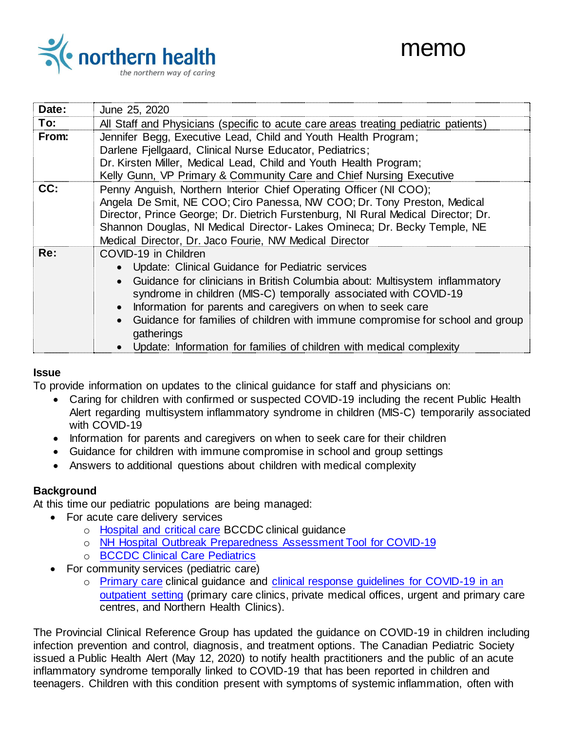

| Date: | June 25, 2020                                                                                                                                                                                                                                                                                                                                                                                                                                                     |
|-------|-------------------------------------------------------------------------------------------------------------------------------------------------------------------------------------------------------------------------------------------------------------------------------------------------------------------------------------------------------------------------------------------------------------------------------------------------------------------|
| To:   | All Staff and Physicians (specific to acute care areas treating pediatric patients)                                                                                                                                                                                                                                                                                                                                                                               |
| From: | Jennifer Begg, Executive Lead, Child and Youth Health Program;<br>Darlene Fjellgaard, Clinical Nurse Educator, Pediatrics;<br>Dr. Kirsten Miller, Medical Lead, Child and Youth Health Program;<br>Kelly Gunn, VP Primary & Community Care and Chief Nursing Executive                                                                                                                                                                                            |
| CC:   | Penny Anguish, Northern Interior Chief Operating Officer (NI COO);<br>Angela De Smit, NE COO; Ciro Panessa, NW COO; Dr. Tony Preston, Medical<br>Director, Prince George; Dr. Dietrich Furstenburg, NI Rural Medical Director; Dr.<br>Shannon Douglas, NI Medical Director-Lakes Omineca; Dr. Becky Temple, NE<br>Medical Director, Dr. Jaco Fourie, NW Medical Director                                                                                          |
| Re:   | COVID-19 in Children<br>Update: Clinical Guidance for Pediatric services<br>Guidance for clinicians in British Columbia about: Multisystem inflammatory<br>syndrome in children (MIS-C) temporally associated with COVID-19<br>Information for parents and caregivers on when to seek care<br>Guidance for families of children with immune compromise for school and group<br>gatherings<br>Update: Information for families of children with medical complexity |

#### **Issue**

To provide information on updates to the clinical guidance for staff and physicians on:

- Caring for children with confirmed or suspected COVID-19 including the recent Public Health Alert regarding multisystem inflammatory syndrome in children (MIS-C) temporarily associated with COVID-19
- Information for parents and caregivers on when to seek care for their children
- Guidance for children with immune compromise in school and group settings
- Answers to additional questions about children with medical complexity

#### **Background**

At this time our pediatric populations are being managed:

- For acute care delivery services
	- o [Hospital and critical care](http://www.bccdc.ca/health-professionals/clinical-resources/covid-19-care/clinical-care/hospital-and-critical-care) BCCDC clinical guidance
	- o [NH Hospital Outbreak Preparedness Assessment Tool for COVID-19](https://ournh.northernhealth.ca/oursites/communications/OurNH%20Communications%20Documents/COVID19%20Hospital%20Outbreak%20Preparedness%20Assessment%20Tool%20FINAL.pdf)
	- o [BCCDC Clinical Care Pediatrics](http://www.bccdc.ca/health-professionals/clinical-resources/covid-19-care/clinical-care/pediatrics)
- For community services (pediatric care)
	- o [Primary care](http://www.bccdc.ca/health-professionals/clinical-resources/covid-19-care/clinical-care/primary-care) clinical guidance and [clinical response guidelines for COVID-19 in an](https://ournh.northernhealth.ca/oursites/communications/OurNH%20Communications%20Documents/clinical-response-guideline-for-outpatient-settings.pdf)  [outpatient setting](https://ournh.northernhealth.ca/oursites/communications/OurNH%20Communications%20Documents/clinical-response-guideline-for-outpatient-settings.pdf) (primary care clinics, private medical offices, urgent and primary care centres, and Northern Health Clinics).

The Provincial Clinical Reference Group has updated the guidance on COVID-19 in children including infection prevention and control, diagnosis, and treatment options. The Canadian Pediatric Society issued a Public Health Alert (May 12, 2020) to notify health practitioners and the public of an acute inflammatory syndrome temporally linked to COVID-19 that has been reported in children and teenagers. Children with this condition present with symptoms of systemic inflammation, often with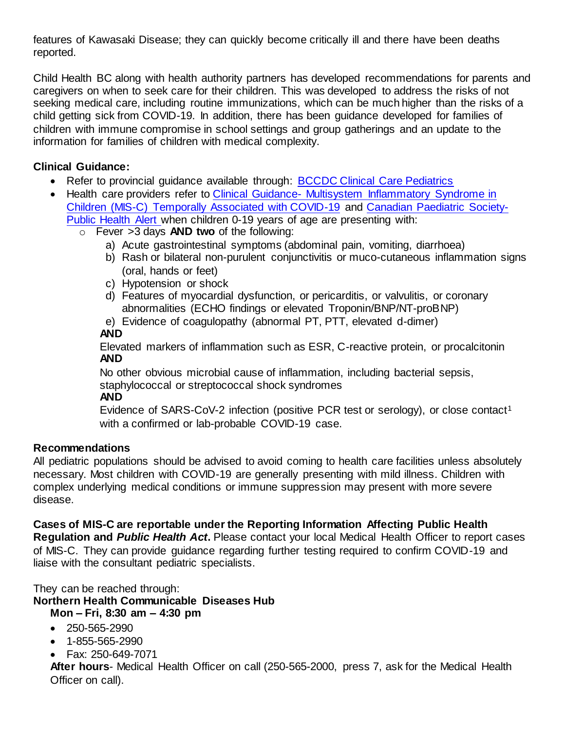features of Kawasaki Disease; they can quickly become critically ill and there have been deaths reported.

Child Health BC along with health authority partners has developed recommendations for parents and caregivers on when to seek care for their children. This was developed to address the risks of not seeking medical care, including routine immunizations, which can be much higher than the risks of a child getting sick from COVID-19. In addition, there has been guidance developed for families of children with immune compromise in school settings and group gatherings and an update to the information for families of children with medical complexity.

## **Clinical Guidance:**

- Refer to provincial quidance available through: [BCCDC Clinical Care Pediatrics](http://www.bccdc.ca/health-professionals/clinical-resources/covid-19-care/clinical-care/pediatrics)
- Health care providers refer to Clinical Guidance- Multisystem Inflammatory Syndrome in [Children \(MIS-C\) Temporally Associated with COVID-19](http://www.bccdc.ca/Health-Professionals-Site/Documents/COVID19_MIS-C_ClinicianGuidance.pdf) and [Canadian Paediatric Society-](https://www.cpsp.cps.ca/uploads/private/CPSP_Public_Health_Alert_Acute_inflammatory_illness_and_COVID-19.pdf)[Public Health Alert w](https://www.cpsp.cps.ca/uploads/private/CPSP_Public_Health_Alert_Acute_inflammatory_illness_and_COVID-19.pdf)hen children 0-19 years of age are presenting with:
	- o Fever >3 days **AND two** of the following:
		- a) Acute gastrointestinal symptoms (abdominal pain, vomiting, diarrhoea)
		- b) Rash or bilateral non-purulent conjunctivitis or muco-cutaneous inflammation signs (oral, hands or feet)
		- c) Hypotension or shock
		- d) Features of myocardial dysfunction, or pericarditis, or valvulitis, or coronary abnormalities (ECHO findings or elevated Troponin/BNP/NT-proBNP)
		- e) Evidence of coagulopathy (abnormal PT, PTT, elevated d-dimer)

## **AND**

Elevated markers of inflammation such as ESR, C-reactive protein, or procalcitonin **AND** 

No other obvious microbial cause of inflammation, including bacterial sepsis, staphylococcal or streptococcal shock syndromes **AND** 

Evidence of SARS-CoV-2 infection (positive PCR test or serology), or close contact<sup>1</sup> with a confirmed or lab-probable COVID-19 case.

## **Recommendations**

All pediatric populations should be advised to avoid coming to health care facilities unless absolutely necessary. Most children with COVID-19 are generally presenting with mild illness. Children with complex underlying medical conditions or immune suppression may present with more severe disease.

## **Cases of MIS-C are reportable under the Reporting Information Affecting Public Health**

**Regulation and** *Public Health Act***.** Please contact your local Medical Health Officer to report cases of MIS-C. They can provide guidance regarding further testing required to confirm COVID-19 and liaise with the consultant pediatric specialists.

They can be reached through:

**Northern Health Communicable Diseases Hub** 

**Mon – Fri, 8:30 am – 4:30 pm**

- $250 565 2990$
- 1-855-565-2990
- Fax: 250-649-7071

**After hours**- Medical Health Officer on call (250-565-2000, press 7, ask for the Medical Health Officer on call).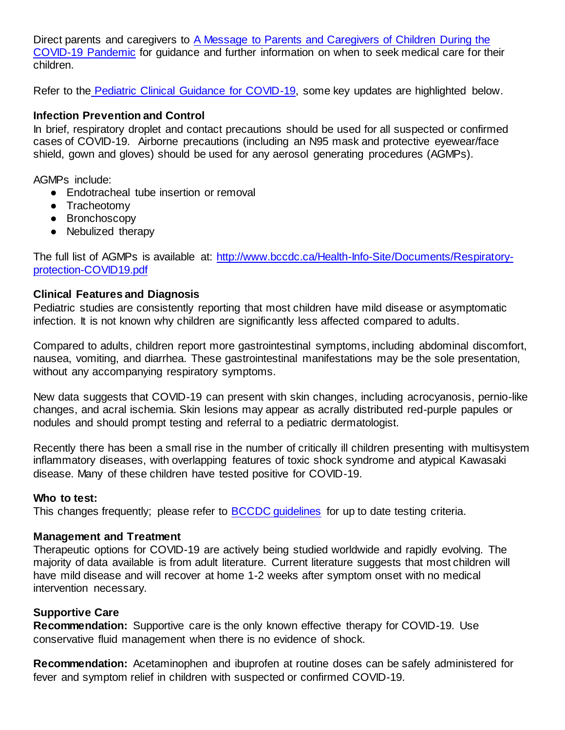Direct parents and caregivers to [A Message to Parents and Caregivers of Children During the](https://www.childhealthbc.ca/sites/default/files/a-message-to-parents-and-caregivers-final_0.pdf)  [COVID-19 Pandemic](https://www.childhealthbc.ca/sites/default/files/a-message-to-parents-and-caregivers-final_0.pdf) for guidance and further information on when to seek medical care for their children.

Refer to the [Pediatric Clinical Guidance for COVID-19,](http://www.bccdc.ca/Health-Professionals-Site/Documents/COVID-19_Pediatric_clinical_guidance.pdf) some key updates are highlighted below.

#### **Infection Prevention and Control**

In brief, respiratory droplet and contact precautions should be used for all suspected or confirmed cases of COVID-19. Airborne precautions (including an N95 mask and protective eyewear/face shield, gown and gloves) should be used for any aerosol generating procedures (AGMPs).

AGMPs include:

- Endotracheal tube insertion or removal
- Tracheotomy
- Bronchoscopy
- Nebulized therapy

The full list of AGMPs is available at: [http://www.bccdc.ca/Health-Info-Site/Documents/Respiratory](http://www.bccdc.ca/Health-Info-Site/Documents/Respiratory-protection-COVID19.pdf)[protection-COVID19.pdf](http://www.bccdc.ca/Health-Info-Site/Documents/Respiratory-protection-COVID19.pdf)

#### **Clinical Features and Diagnosis**

Pediatric studies are consistently reporting that most children have mild disease or asymptomatic infection. It is not known why children are significantly less affected compared to adults.

Compared to adults, children report more gastrointestinal symptoms, including abdominal discomfort, nausea, vomiting, and diarrhea. These gastrointestinal manifestations may be the sole presentation, without any accompanying respiratory symptoms.

New data suggests that COVID-19 can present with skin changes, including acrocyanosis, pernio-like changes, and acral ischemia. Skin lesions may appear as acrally distributed red-purple papules or nodules and should prompt testing and referral to a pediatric dermatologist.

Recently there has been a small rise in the number of critically ill children presenting with multisystem inflammatory diseases, with overlapping features of toxic shock syndrome and atypical Kawasaki disease. Many of these children have tested positive for COVID-19.

#### **Who to test:**

This changes frequently; please refer to **BCCDC** guidelines for up to date testing criteria.

#### **Management and Treatment**

Therapeutic options for COVID-19 are actively being studied worldwide and rapidly evolving. The majority of data available is from adult literature. Current literature suggests that most children will have mild disease and will recover at home 1-2 weeks after symptom onset with no medical intervention necessary.

#### **Supportive Care**

**Recommendation:** Supportive care is the only known effective therapy for COVID-19. Use conservative fluid management when there is no evidence of shock.

**Recommendation:** Acetaminophen and ibuprofen at routine doses can be safely administered for fever and symptom relief in children with suspected or confirmed COVID-19.